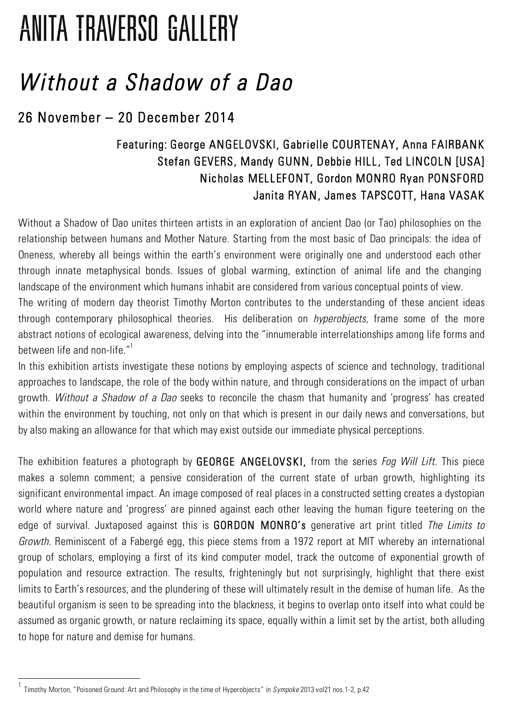## **ANITA TRAVERSO GALLERY**

## *Without a Shadow of a Dao*

## 26 November – 20 December 2014

## Featuring: George ANGELOVSKI, Gabrielle COURTENAY, Anna FAIRBANK Stefan GEVERS, Mandy GUNN, Debbie HILL, Ted LINCOLN [USA] Nicholas MELLEFONT, Gordon MONRO Ryan PONSFORD Janita RYAN, James TAPSCOTT, Hana VASAK

Without a Shadow of Dao unites thirteen artists in an exploration of ancient Dao (or Tao) philosophies on the relationship between humans and Mother Nature. Starting from the most basic of Dao principals: the idea of Oneness, whereby all beings within the earth's environment were originally one and understood each other through innate metaphysical bonds. Issues of global warming, extinction of animal life and the changing landscape of the environment which humans inhabit are considered from various conceptual points of view.

The writing of modern day theorist Timothy Morton contributes to the understanding of these ancient ideas through contemporary philosophical theories. His deliberation on *hyperobjects,* frame some of the more abstract notions of ecological awareness, delving into the "innumerable interrelationships among life forms and between life and non-life."1

In this exhibition artists investigate these notions by employing aspects of science and technology, traditional approaches to landscape, the role of the body within nature, and through considerations on the impact of urban growth. *Without a Shadow of a Dao* seeks to reconcile the chasm that humanity and 'progress' has created within the environment by touching, not only on that which is present in our daily news and conversations, but by also making an allowance for that which may exist outside our immediate physical perceptions.

The exhibition features a photograph by GEORGE ANGELOVSKI, from the series *Fog Will Lift.* This piece makes a solemn comment; a pensive consideration of the current state of urban growth, highlighting its significant environmental impact. An image composed of real places in a constructed setting creates a dystopian world where nature and 'progress' are pinned against each other leaving the human figure teetering on the edge of survival. Juxtaposed against this is GORDON MONRO's generative art print titled *The Limits to Growth.* Reminiscent of a Fabergé egg, this piece stems from a 1972 report at MIT whereby an international group of scholars, employing a first of its kind computer model, track the outcome of exponential growth of population and resource extraction. The results, frighteningly but not surprisingly, highlight that there exist limits to Earth's resources, and the plundering of these will ultimately result in the demise of human life. As the beautiful organism is seen to be spreading into the blackness, it begins to overlap onto itself into what could be assumed as organic growth, or nature reclaiming its space, equally within a limit set by the artist, both alluding to hope for nature and demise for humans.

<sup>1</sup> Timothy Morton, "Poisoned Ground: Art and Philosophy in the time of Hyperobjects" in *Sympoke* 2013 vol21 nos.1-2, p.42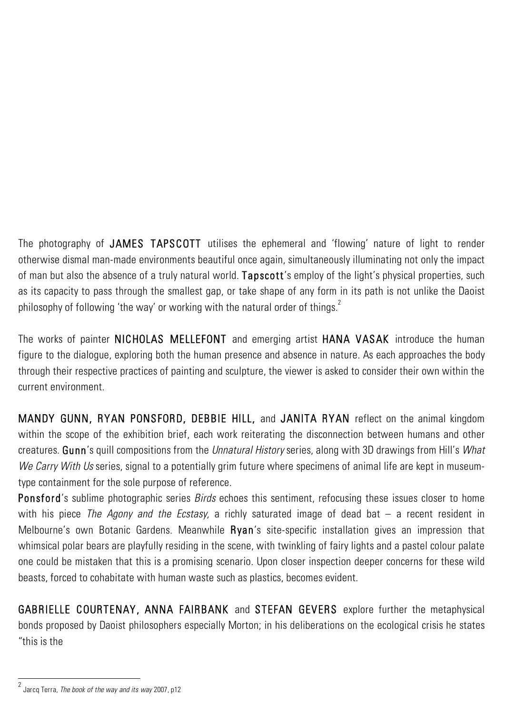The photography of JAMES TAPSCOTT utilises the ephemeral and 'flowing' nature of light to render otherwise dismal man-made environments beautiful once again, simultaneously illuminating not only the impact of man but also the absence of a truly natural world. Tapscott's employ of the light's physical properties, such as its capacity to pass through the smallest gap, or take shape of any form in its path is not unlike the Daoist philosophy of following 'the way' or working with the natural order of things. $^2$ 

The works of painter NICHOLAS MELLEFONT and emerging artist HANA VASAKintroduce the human figure to the dialogue, exploring both the human presence and absence in nature. As each approaches the body through their respective practices of painting and sculpture, the viewer is asked to consider their own within the current environment.

MANDY GUNN, RYAN PONSFORD, DEBBIE HILL, and JANITA RYAN reflect on the animal kingdom within the scope of the exhibition brief, each work reiterating the disconnection between humans and other creatures. Gunn's quill compositions from the *Unnatural History* series, along with 3D drawings from Hill's *What We Carry With Us* series, signal to a potentially grim future where specimens of animal life are kept in museumtype containment for the sole purpose of reference.

Ponsford's sublime photographic series *Birds* echoes this sentiment, refocusing these issues closer to home with his piece *The Agony and the Ecstasy,* a richly saturated image of dead bat – a recent resident in Melbourne's own Botanic Gardens. Meanwhile Ryan's site-specific installation gives an impression that whimsical polar bears are playfully residing in the scene, with twinkling of fairy lights and a pastel colour palate one could be mistaken that this is a promising scenario. Upon closer inspection deeper concerns for these wild beasts, forced to cohabitate with human waste such as plastics, becomes evident.

GABRIELLE COURTENAY, ANNA FAIRBANK and STEFAN GEVERS explore further the metaphysical bonds proposed by Daoist philosophers especially Morton; in his deliberations on the ecological crisis he states "this is the

<sup>&</sup>lt;sup>2</sup> Jarcq Terra, *The book of the way and its way* 2007, p12